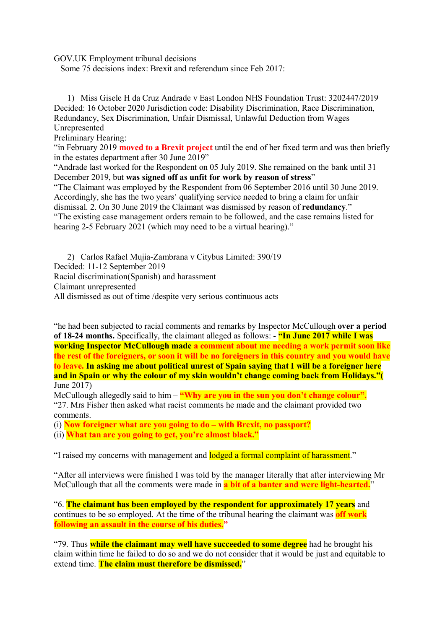GOV.UK Employment tribunal decisions

Some 75 decisions index: Brexit and referendum since Feb 2017:

1) Miss Gisele H da Cruz Andrade v East London NHS Foundation Trust: 3202447/2019 Decided: 16 October 2020 Jurisdiction code: Disability Discrimination, Race Discrimination, Redundancy, Sex Discrimination, Unfair Dismissal, Unlawful Deduction from Wages Unrepresented

Preliminary Hearing:

"in February 2019 **moved to a Brexit project** until the end of her fixed term and was then briefly in the estates department after 30 June 2019"

"Andrade last worked for the Respondent on 05 July 2019. She remained on the bank until 31 December 2019, but **was signed off as unfit for work by reason of stress**"

"The Claimant was employed by the Respondent from 06 September 2016 until 30 June 2019. Accordingly, she has the two years' qualifying service needed to bring a claim for unfair dismissal. 2. On 30 June 2019 the Claimant was dismissed by reason of **redundancy**." "The existing case management orders remain to be followed, and the case remains listed for hearing 2-5 February 2021 (which may need to be a virtual hearing)."

2) Carlos Rafael Mujia-Zambrana v Citybus Limited: 390/19 Decided: 11-12 September 2019 Racial discrimination(Spanish) and harassment Claimant unrepresented All dismissed as out of time /despite very serious continuous acts

"he had been subjected to racial comments and remarks by Inspector McCullough **over a period of 18-24 months.** Specifically, the claimant alleged as follows: - **"In June 2017 while I was working Inspector McCullough made a comment about me needing a work permit soon like the rest of the foreigners, or soon it will be no foreigners in this country and you would have to leave. In asking me about political unrest of Spain saying that I will be a foreigner here and in Spain or why the colour of my skin wouldn't change coming back from Holidays."(** June 2017)

McCullough allegedly said to him – "Why are you in the sun you don't change colour". "27. Mrs Fisher then asked what racist comments he made and the claimant provided two comments.

(i) **Now foreigner what are you going to do – with Brexit, no passport?**

(ii) **What tan are you going to get, you're almost black."**

"I raised my concerns with management and lodged a formal complaint of harassment."

"After all interviews were finished I was told by the manager literally that after interviewing Mr McCullough that all the comments were made in **a bit of a banter and were light-hearted.**"

"6. **The claimant has been employed by the respondent for approximately 17 years** and continues to be so employed. At the time of the tribunal hearing the claimant was **off work following an assault in the course of his duties."**

"79. Thus **while the claimant may well have succeeded to some degree** had he brought his claim within time he failed to do so and we do not consider that it would be just and equitable to extend time. **The claim must therefore be dismissed.**"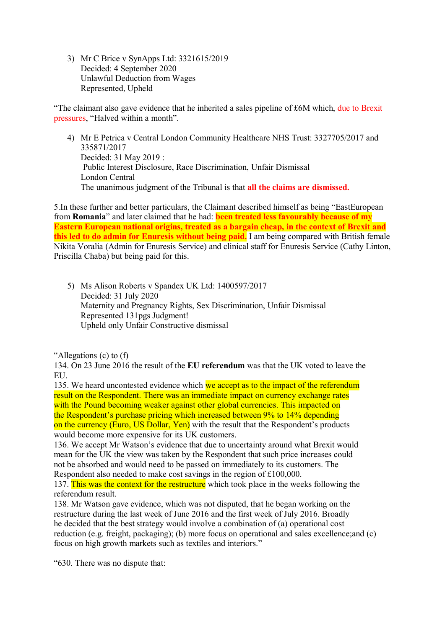3) Mr C Brice v SynApps Ltd: 3321615/2019 Decided: 4 September 2020 Unlawful Deduction from Wages Represented, Upheld

"The claimant also gave evidence that he inherited a sales pipeline of £6M which, due to Brexit pressures, "Halved within a month".

4) Mr E Petrica v Central London Community Healthcare NHS Trust: 3327705/2017 and 335871/2017 Decided: 31 May 2019 : Public Interest Disclosure, Race Discrimination, Unfair Dismissal London Central The unanimous judgment of the Tribunal is that **all the claims are dismissed.**

5.In these further and better particulars, the Claimant described himself as being "EastEuropean from **Romania**" and later claimed that he had: **been treated less favourably because of my Eastern European national origins, treated as a bargain cheap, in the context of Brexit and this led to do admin for Enuresis without being paid.** I am being compared with British female Nikita Voralia (Admin for Enuresis Service) and clinical staff for Enuresis Service (Cathy Linton, Priscilla Chaba) but being paid for this.

5) Ms Alison Roberts v Spandex UK Ltd: 1400597/2017 Decided: 31 July 2020 Maternity and Pregnancy Rights, Sex Discrimination, Unfair Dismissal Represented 131pgs Judgment! Upheld only Unfair Constructive dismissal

"Allegations (c) to (f)

134. On 23 June 2016 the result of the **EU referendum** was that the UK voted to leave the EU.

135. We heard uncontested evidence which we accept as to the impact of the referendum result on the Respondent. There was an immediate impact on currency exchange rates with the Pound becoming weaker against other global currencies. This impacted on the Respondent's purchase pricing which increased between 9% to 14% depending on the currency (Euro, US Dollar, Yen) with the result that the Respondent's products would become more expensive for its UK customers.

136. We accept Mr Watson's evidence that due to uncertainty around what Brexit would mean for the UK the view was taken by the Respondent that such price increases could not be absorbed and would need to be passed on immediately to its customers. The Respondent also needed to make cost savings in the region of £100,000.

137. This was the context for the restructure which took place in the weeks following the referendum result.

138. Mr Watson gave evidence, which was not disputed, that he began working on the restructure during the last week of June 2016 and the first week of July 2016. Broadly he decided that the best strategy would involve a combination of (a) operational cost reduction (e.g. freight, packaging); (b) more focus on operational and sales excellence;and (c) focus on high growth markets such as textiles and interiors."

"630. There was no dispute that: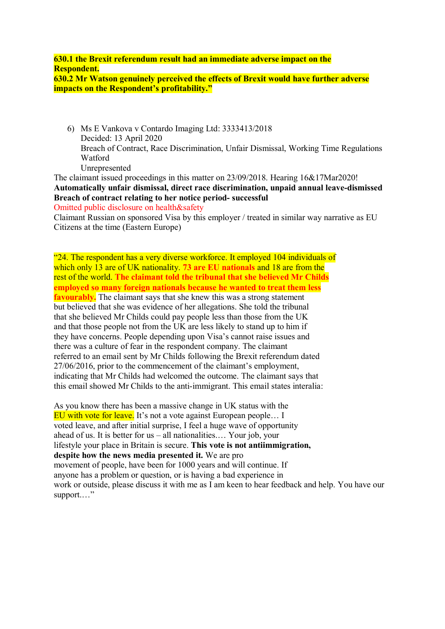**630.1 the Brexit referendum result had an immediate adverse impact on the Respondent. 630.2 Mr Watson genuinely perceived the effects of Brexit would have further adverse impacts on the Respondent's profitability."**

6) Ms E Vankova v Contardo Imaging Ltd: 3333413/2018 Decided: 13 April 2020 Breach of Contract, Race Discrimination, Unfair Dismissal, Working Time Regulations Watford Unrepresented

The claimant issued proceedings in this matter on 23/09/2018. Hearing 16&17Mar2020! **Automatically unfair dismissal, direct race discrimination, unpaid annual leave-dismissed Breach of contract relating to her notice period- successful**

Omitted public disclosure on health&safety

Claimant Russian on sponsored Visa by this employer / treated in similar way narrative as EU Citizens at the time (Eastern Europe)

"24. The respondent has a very diverse workforce. It employed 104 individuals of which only 13 are of UK nationality. **73 are EU nationals** and 18 are from the rest of the world. **The claimant told the tribunal that she believed Mr Childs employed so many foreign nationals because he wanted to treat them less favourably.** The claimant says that she knew this was a strong statement but believed that she was evidence of her allegations. She told the tribunal that she believed Mr Childs could pay people less than those from the UK and that those people not from the UK are less likely to stand up to him if they have concerns. People depending upon Visa's cannot raise issues and there was a culture of fear in the respondent company. The claimant referred to an email sent by Mr Childs following the Brexit referendum dated 27/06/2016, prior to the commencement of the claimant's employment, indicating that Mr Childs had welcomed the outcome. The claimant says that this email showed Mr Childs to the anti-immigrant. This email states interalia:

As you know there has been a massive change in UK status with the EU with vote for leave. It's not a vote against European people... I voted leave, and after initial surprise, I feel a huge wave of opportunity ahead of us. It is better for us – all nationalities.… Your job, your lifestyle your place in Britain is secure. **This vote is not antiimmigration, despite how the news media presented it.** We are pro movement of people, have been for 1000 years and will continue. If anyone has a problem or question, or is having a bad experience in work or outside, please discuss it with me as I am keen to hear feedback and help. You have our support.…"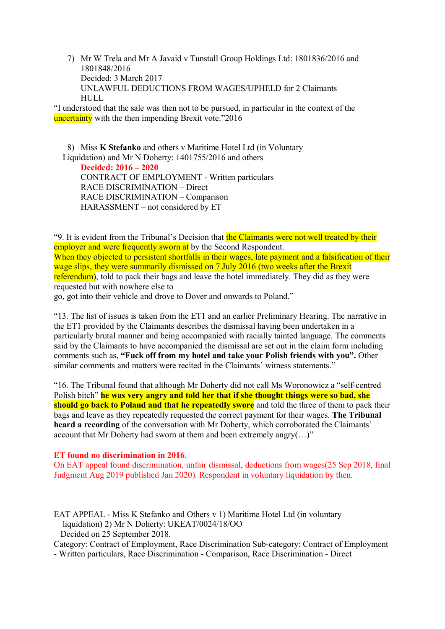7) Mr W Trela and Mr A Javaid v Tunstall Group Holdings Ltd: 1801836/2016 and 1801848/2016 Decided: 3 March 2017 UNLAWFUL DEDUCTIONS FROM WAGES/UPHELD for 2 Claimants HULL.

"I understood that the sale was then not to be pursued, in particular in the context of the uncertainty with the then impending Brexit vote."2016

8) Miss **K Stefanko** and others v Maritime Hotel Ltd (in Voluntary Liquidation) and Mr N Doherty: 1401755/2016 and others

 **Decided: 2016 – 2020** CONTRACT OF EMPLOYMENT - Written particulars RACE DISCRIMINATION – Direct RACE DISCRIMINATION – Comparison HARASSMENT – not considered by ET

"9. It is evident from the Tribunal's Decision that the Claimants were not well treated by their employer and were frequently sworn at by the Second Respondent. When they objected to persistent shortfalls in their wages, late payment and a falsification of their wage slips, they were summarily dismissed on 7 July 2016 (two weeks after the Brexit referendum), told to pack their bags and leave the hotel immediately. They did as they were requested but with nowhere else to

go, got into their vehicle and drove to Dover and onwards to Poland."

"13. The list of issues is taken from the ET1 and an earlier Preliminary Hearing. The narrative in the ET1 provided by the Claimants describes the dismissal having been undertaken in a particularly brutal manner and being accompanied with racially tainted language. The comments said by the Claimants to have accompanied the dismissal are set out in the claim form including comments such as, **"Fuck off from my hotel and take your Polish friends with you".** Other similar comments and matters were recited in the Claimants' witness statements."

"16. The Tribunal found that although Mr Doherty did not call Ms Woronowicz a "self-centred Polish bitch" **he was very angry and told her that if she thought things were so bad, she should go back to Poland and that he repeatedly swore** and told the three of them to pack their bags and leave as they repeatedly requested the correct payment for their wages. **The Tribunal heard a recording** of the conversation with Mr Doherty, which corroborated the Claimants' account that Mr Doherty had sworn at them and been extremely angry $(...)$ "

#### **ET found no discrimination in 2016**.

On EAT appeal found discrimination, unfair dismissal, deductions from wages(25 Sep 2018, final Judgment Aug 2019 published Jan 2020). Respondent in voluntary liquidation by then.

EAT APPEAL - Miss K Stefanko and Others v 1) Maritime Hotel Ltd (in voluntary liquidation) 2) Mr N Doherty: UKEAT/0024/18/OO Decided on 25 September 2018.

Category: Contract of Employment, Race Discrimination Sub-category: Contract of Employment

- Written particulars, Race Discrimination - Comparison, Race Discrimination - Direct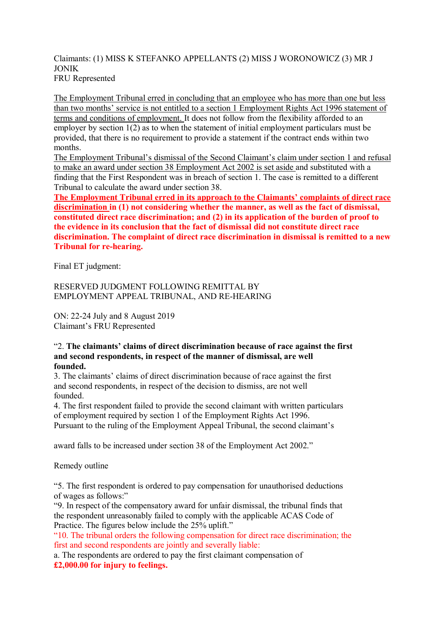# Claimants: (1) MISS K STEFANKO APPELLANTS (2) MISS J WORONOWICZ (3) MR J JONIK FRU Represented

The Employment Tribunal erred in concluding that an employee who has more than one but less than two months' service is not entitled to a section 1 Employment Rights Act 1996 statement of terms and conditions of employment. It does not follow from the flexibility afforded to an employer by section 1(2) as to when the statement of initial employment particulars must be provided, that there is no requirement to provide a statement if the contract ends within two months.

The Employment Tribunal's dismissal of the Second Claimant's claim under section 1 and refusal to make an award under section 38 Employment Act 2002 is set aside and substituted with a finding that the First Respondent was in breach of section 1. The case is remitted to a different Tribunal to calculate the award under section 38.

**The Employment Tribunal erred in its approach to the Claimants' complaints of direct race discrimination in (1) not considering whether the manner, as well as the fact of dismissal, constituted direct race discrimination; and (2) in its application of the burden of proof to the evidence in its conclusion that the fact of dismissal did not constitute direct race discrimination. The complaint of direct race discrimination in dismissal is remitted to a new Tribunal for re-hearing.** 

Final ET judgment:

RESERVED JUDGMENT FOLLOWING REMITTAL BY EMPLOYMENT APPEAL TRIBUNAL, AND RE-HEARING

ON: 22-24 July and 8 August 2019 Claimant's FRU Represented

### "2. **The claimants' claims of direct discrimination because of race against the first and second respondents, in respect of the manner of dismissal, are well founded.**

3. The claimants' claims of direct discrimination because of race against the first and second respondents, in respect of the decision to dismiss, are not well founded.

4. The first respondent failed to provide the second claimant with written particulars of employment required by section 1 of the Employment Rights Act 1996. Pursuant to the ruling of the Employment Appeal Tribunal, the second claimant's

award falls to be increased under section 38 of the Employment Act 2002."

Remedy outline

"5. The first respondent is ordered to pay compensation for unauthorised deductions of wages as follows:"

"9. In respect of the compensatory award for unfair dismissal, the tribunal finds that the respondent unreasonably failed to comply with the applicable ACAS Code of Practice. The figures below include the 25% uplift."

"10. The tribunal orders the following compensation for direct race discrimination; the first and second respondents are jointly and severally liable:

a. The respondents are ordered to pay the first claimant compensation of **£2,000.00 for injury to feelings.**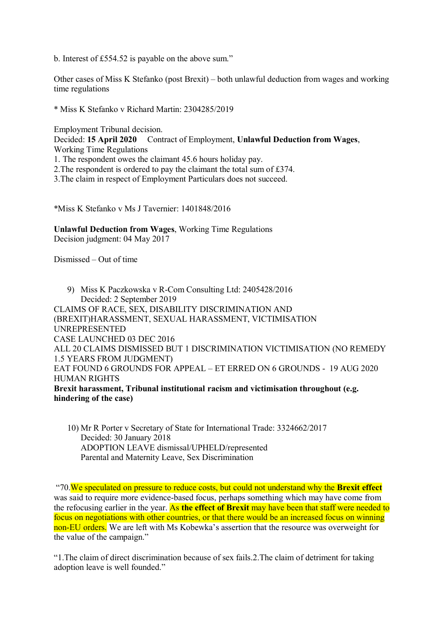b. Interest of £554.52 is payable on the above sum."

Other cases of Miss K Stefanko (post Brexit) – both unlawful deduction from wages and working time regulations

\* Miss K Stefanko v Richard Martin: 2304285/2019

Employment Tribunal decision.<br>Decided: 15 April 2020 Cont

**Contract of Employment, Unlawful Deduction from Wages,** Working Time Regulations

1. The respondent owes the claimant 45.6 hours holiday pay.

2.The respondent is ordered to pay the claimant the total sum of £374.

3.The claim in respect of Employment Particulars does not succeed.

\*Miss K Stefanko v Ms J Tavernier: 1401848/2016

**Unlawful Deduction from Wages**, Working Time Regulations Decision judgment: 04 May 2017

Dismissed – Out of time

9) Miss K Paczkowska v R-Com Consulting Ltd: 2405428/2016 Decided: 2 September 2019 CLAIMS OF RACE, SEX, DISABILITY DISCRIMINATION AND (BREXIT)HARASSMENT, SEXUAL HARASSMENT, VICTIMISATION UNREPRESENTED CASE LAUNCHED 03 DEC 2016 ALL 20 CLAIMS DISMISSED BUT 1 DISCRIMINATION VICTIMISATION (NO REMEDY 1.5 YEARS FROM JUDGMENT) EAT FOUND 6 GROUNDS FOR APPEAL – ET ERRED ON 6 GROUNDS - 19 AUG 2020 HUMAN RIGHTS **Brexit harassment, Tribunal institutional racism and victimisation throughout (e.g. hindering of the case)**

10) Mr R Porter v Secretary of State for International Trade: 3324662/2017 Decided: 30 January 2018 ADOPTION LEAVE dismissal/UPHELD/represented Parental and Maternity Leave, Sex Discrimination

"70.We speculated on pressure to reduce costs, but could not understand why the **Brexit effect** was said to require more evidence-based focus, perhaps something which may have come from the refocusing earlier in the year. As **the effect of Brexit** may have been that staff were needed to focus on negotiations with other countries, or that there would be an increased focus on winning non-EU orders. We are left with Ms Kobewka's assertion that the resource was overweight for the value of the campaign."

"1.The claim of direct discrimination because of sex fails.2.The claim of detriment for taking adoption leave is well founded."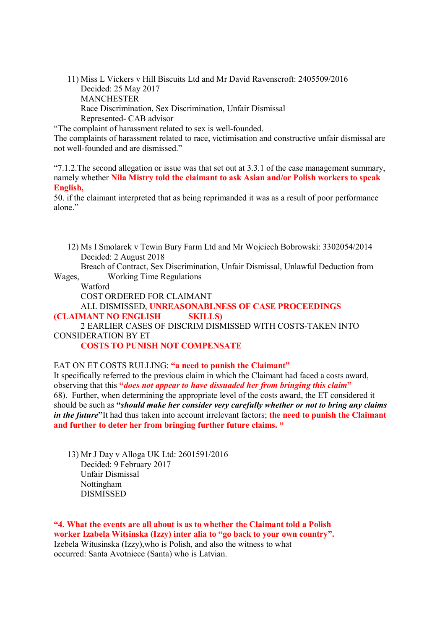11) Miss L Vickers v Hill Biscuits Ltd and Mr David Ravenscroft: 2405509/2016 Decided: 25 May 2017 MANCHESTER Race Discrimination, Sex Discrimination, Unfair Dismissal Represented- CAB advisor

"The complaint of harassment related to sex is well-founded.

The complaints of harassment related to race, victimisation and constructive unfair dismissal are not well-founded and are dismissed."

"7.1.2. The second allegation or issue was that set out at  $3.3.1$  of the case management summary, namely whether **Nila Mistry told the claimant to ask Asian and/or Polish workers to speak English,**

50. if the claimant interpreted that as being reprimanded it was as a result of poor performance alone"

12) Ms I Smolarek v Tewin Bury Farm Ltd and Mr Wojciech Bobrowski: 3302054/2014 Decided: 2 August 2018

Breach of Contract, Sex Discrimination, Unfair Dismissal, Unlawful Deduction from Wages, Working Time Regulations

Watford

COST ORDERED FOR CLAIMANT

ALL DISMISSED, **UNREASONABLNESS OF CASE PROCEEDINGS (CLAIMANT NO ENGLISH SKILLS)**

2 EARLIER CASES OF DISCRIM DISMISSED WITH COSTS-TAKEN INTO CONSIDERATION BY ET

**COSTS TO PUNISH NOT COMPENSATE**

EAT ON ET COSTS RULLING: **"a need to punish the Claimant"**

It specifically referred to the previous claim in which the Claimant had faced a costs award, observing that this **"***does not appear to have dissuaded her from bringing this claim***"** 68). Further, when determining the appropriate level of the costs award, the ET considered it should be such as **"***should make her consider very carefully whether or not to bring any claims in the future***"**It had thus taken into account irrelevant factors; **the need to punish the Claimant and further to deter her from bringing further future claims. "**

13) Mr J Day v Alloga UK Ltd: 2601591/2016 Decided: 9 February 2017 Unfair Dismissal Nottingham DISMISSED

**"4. What the events are all about is as to whether the Claimant told a Polish worker Izabela Witsinska (Izzy) inter alia to "go back to your own country".** Izebela Witusinska (Izzy),who is Polish, and also the witness to what occurred: Santa Avotniece (Santa) who is Latvian.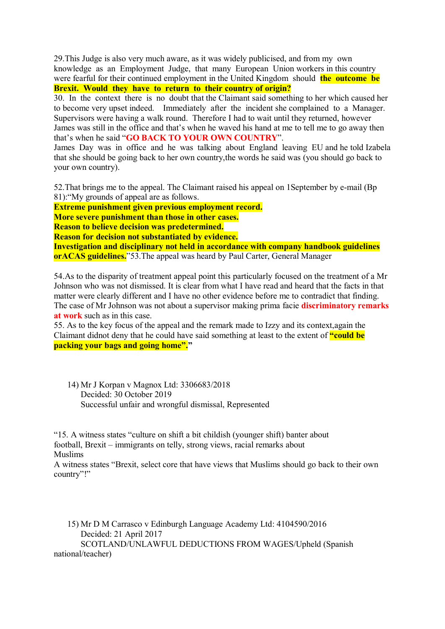29.This Judge is also very much aware, as it was widely publicised, and from my own knowledge as an Employment Judge, that many European Union workers in this country were fearful for their continued employment in the United Kingdom should **the outcome be Brexit. Would they have to return to their country of origin?**

30. In the context there is no doubt that the Claimant said something to her which caused her to become very upset indeed. Immediately after the incident she complained to a Manager. Supervisors were having a walk round. Therefore I had to wait until they returned, however James was still in the office and that's when he waved his hand at me to tell me to go away then that's when he said "**GO BACK TO YOUR OWN COUNTRY**".

James Day was in office and he was talking about England leaving EU and he told Izabela that she should be going back to her own country,the words he said was (you should go back to your own country).

52.That brings me to the appeal. The Claimant raised his appeal on 1September by e-mail (Bp 81):"My grounds of appeal are as follows.

**Extreme punishment given previous employment record.**

**More severe punishment than those in other cases.**

**Reason to believe decision was predetermined.**

**Reason for decision not substantiated by evidence.**

**Investigation and disciplinary not held in accordance with company handbook guidelines orACAS guidelines.**"53.The appeal was heard by Paul Carter, General Manager

54.As to the disparity of treatment appeal point this particularly focused on the treatment of a Mr Johnson who was not dismissed. It is clear from what I have read and heard that the facts in that matter were clearly different and I have no other evidence before me to contradict that finding. The case of Mr Johnson was not about a supervisor making prima facie **discriminatory remarks at work** such as in this case.

55. As to the key focus of the appeal and the remark made to Izzy and its context,again the Claimant didnot deny that he could have said something at least to the extent of **"could be packing your bags and going home"."**

14) Mr J Korpan v Magnox Ltd: 3306683/2018 Decided: 30 October 2019 Successful unfair and wrongful dismissal, Represented

"15. A witness states "culture on shift a bit childish (younger shift) banter about football, Brexit – immigrants on telly, strong views, racial remarks about Muslims

A witness states "Brexit, select core that have views that Muslims should go back to their own country"!"

15) Mr D M Carrasco v Edinburgh Language Academy Ltd: 4104590/2016 Decided: 21 April 2017 SCOTLAND/UNLAWFUL DEDUCTIONS FROM WAGES/Upheld (Spanish national/teacher)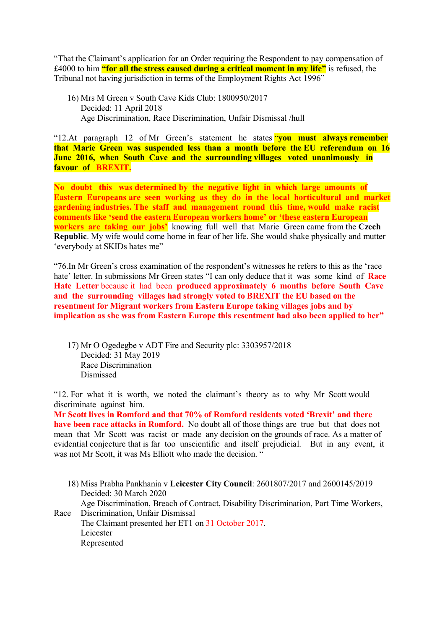"That the Claimant's application for an Order requiring the Respondent to pay compensation of £4000 to him **"for all the stress caused during a critical moment in my life"** is refused, the Tribunal not having jurisdiction in terms of the Employment Rights Act 1996"

16) Mrs M Green v South Cave Kids Club: 1800950/2017 Decided: 11 April 2018 Age Discrimination, Race Discrimination, Unfair Dismissal /hull

"12.At paragraph 12 of Mr Green's statement he states "**you must always remember that Marie Green was suspended less than a month before the EU referendum on 16 June 2016, when South Cave and the surrounding villages voted unanimously in favour of BREXIT.**

**No doubt this was determined by the negative light in which large amounts of Eastern Europeans are seen working as they do in the local horticultural and market gardening industries. The staff and management round this time, would make racist comments like 'send the eastern European workers home' or 'these eastern European workers are taking our jobs'** knowing full well that Marie Green came from the **Czech Republic**. My wife would come home in fear of her life. She would shake physically and mutter 'everybody at SKIDs hates me"

"76.In Mr Green's cross examination of the respondent's witnesses he refers to this as the 'race hate' letter. In submissions Mr Green states "I can only deduce that it was some kind of **Race Hate Letter** because it had been **produced approximately 6 months before South Cave and the surrounding villages had strongly voted to BREXIT the EU based on the resentment for Migrant workers from Eastern Europe taking villages jobs and by implication as she was from Eastern Europe this resentment had also been applied to her"**

17) Mr O Ogedegbe v ADT Fire and Security plc: 3303957/2018 Decided: 31 May 2019 Race Discrimination Dismissed

"12. For what it is worth, we noted the claimant's theory as to why Mr Scott would discriminate against him.

**Mr Scott lives in Romford and that 70% of Romford residents voted 'Brexit' and there have been race attacks in Romford.** No doubt all of those things are true but that does not mean that Mr Scott was racist or made any decision on the grounds of race. As a matter of evidential conjecture that is far too unscientific and itself prejudicial. But in any event, it was not Mr Scott, it was Ms Elliott who made the decision. "

18) Miss Prabha Pankhania v **Leicester City Council**: 2601807/2017 and 2600145/2019 Decided: 30 March 2020 Age Discrimination, Breach of Contract, Disability Discrimination, Part Time Workers, Race Discrimination, Unfair Dismissal The Claimant presented her ET1 on 31 October 2017. Leicester Represented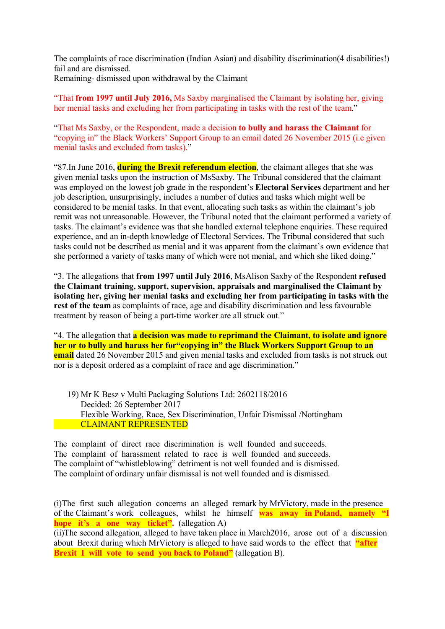The complaints of race discrimination (Indian Asian) and disability discrimination(4 disabilities!) fail and are dismissed. Remaining- dismissed upon withdrawal by the Claimant

"That **from 1997 until July 2016,** Ms Saxby marginalised the Claimant by isolating her, giving her menial tasks and excluding her from participating in tasks with the rest of the team."

"That Ms Saxby, or the Respondent, made a decision **to bully and harass the Claimant** for "copying in" the Black Workers' Support Group to an email dated 26 November 2015 (i.e given menial tasks and excluded from tasks)."

"87.In June 2016, **during the Brexit referendum election**, the claimant alleges that she was given menial tasks upon the instruction of MsSaxby. The Tribunal considered that the claimant was employed on the lowest job grade in the respondent's **Electoral Services** department and her job description, unsurprisingly, includes a number of duties and tasks which might well be considered to be menial tasks. In that event, allocating such tasks as within the claimant's job remit was not unreasonable. However, the Tribunal noted that the claimant performed a variety of tasks. The claimant's evidence was that she handled external telephone enquiries. These required experience, and an in-depth knowledge of Electoral Services. The Tribunal considered that such tasks could not be described as menial and it was apparent from the claimant's own evidence that she performed a variety of tasks many of which were not menial, and which she liked doing."

"3. The allegations that **from 1997 until July 2016**, MsAlison Saxby of the Respondent **refused the Claimant training, support, supervision, appraisals and marginalised the Claimant by isolating her, giving her menial tasks and excluding her from participating in tasks with the rest of the team** as complaints of race, age and disability discrimination and less favourable treatment by reason of being a part-time worker are all struck out."

"4. The allegation that **a decision was made to reprimand the Claimant, to isolate and ignore her or to bully and harass her for"copying in" the Black Workers Support Group to an email** dated 26 November 2015 and given menial tasks and excluded from tasks is not struck out nor is a deposit ordered as a complaint of race and age discrimination."

19) Mr K Besz v Multi Packaging Solutions Ltd: 2602118/2016 Decided: 26 September 2017 Flexible Working, Race, Sex Discrimination, Unfair Dismissal /Nottingham CLAIMANT REPRESENTED

The complaint of direct race discrimination is well founded and succeeds. The complaint of harassment related to race is well founded and succeeds. The complaint of "whistleblowing" detriment is not well founded and is dismissed. The complaint of ordinary unfair dismissal is not well founded and is dismissed.

(i)The first such allegation concerns an alleged remark by MrVictory, made in the presence of the Claimant's work colleagues, whilst he himself **was away in Poland, namely "I hope it's a one way ticket".** (allegation A)

(ii)The second allegation, alleged to have taken place in March2016, arose out of a discussion about Brexit during which MrVictory is alleged to have said words to the effect that **"after Brexit I will vote to send you back to Poland"** (allegation B).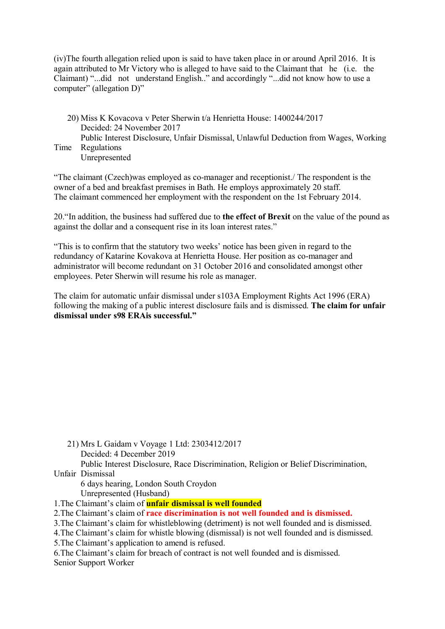(iv)The fourth allegation relied upon is said to have taken place in or around April 2016. It is again attributed to Mr Victory who is alleged to have said to the Claimant that he (i.e. the Claimant) "...did not understand English.." and accordingly "...did not know how to use a computer" (allegation D)"

20) Miss K Kovacova v Peter Sherwin t/a Henrietta House: 1400244/2017 Decided: 24 November 2017 Public Interest Disclosure, Unfair Dismissal, Unlawful Deduction from Wages, Working Time Regulations

Unrepresented

"The claimant (Czech)was employed as co-manager and receptionist./ The respondent is the owner of a bed and breakfast premises in Bath. He employs approximately 20 staff. The claimant commenced her employment with the respondent on the 1st February 2014.

20."In addition, the business had suffered due to **the effect of Brexit** on the value of the pound as against the dollar and a consequent rise in its loan interest rates."

"This is to confirm that the statutory two weeks' notice has been given in regard to the redundancy of Katarine Kovakova at Henrietta House. Her position as co-manager and administrator will become redundant on 31 October 2016 and consolidated amongst other employees. Peter Sherwin will resume his role as manager.

The claim for automatic unfair dismissal under s103A Employment Rights Act 1996 (ERA) following the making of a public interest disclosure fails and is dismissed. **The claim for unfair dismissal under s98 ERAis successful."**

21) Mrs L Gaidam v Voyage 1 Ltd: 2303412/2017 Decided: 4 December 2019 Public Interest Disclosure, Race Discrimination, Religion or Belief Discrimination, Unfair Dismissal

6 days hearing, London South Croydon Unrepresented (Husband)

1.The Claimant's claim of **unfair dismissal is well founded**

2.The Claimant's claim of **race discrimination is not well founded and is dismissed.**

3.The Claimant's claim for whistleblowing (detriment) is not well founded and is dismissed.

4.The Claimant's claim for whistle blowing (dismissal) is not well founded and is dismissed.

5.The Claimant's application to amend is refused.

6.The Claimant's claim for breach of contract is not well founded and is dismissed. Senior Support Worker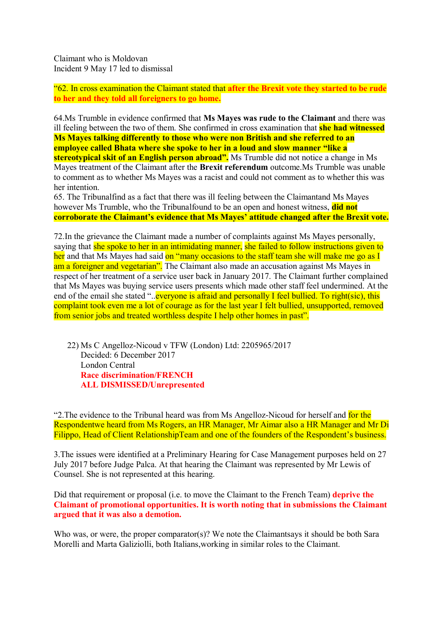Claimant who is Moldovan Incident 9 May 17 led to dismissal

"62. In cross examination the Claimant stated that **after the Brexit vote they started to be rude to her and they told all foreigners to go home.**

64.Ms Trumble in evidence confirmed that **Ms Mayes was rude to the Claimant** and there was ill feeling between the two of them. She confirmed in cross examination that **she had witnessed Ms Mayes talking differently to those who were non British and she referred to an employee called Bhata where she spoke to her in a loud and slow manner "like a stereotypical skit of an English person abroad".** Ms Trumble did not notice a change in Ms Mayes treatment of the Claimant after the **Brexit referendum** outcome.Ms Trumble was unable to comment as to whether Ms Mayes was a racist and could not comment as to whether this was her intention.

65. The Tribunalfind as a fact that there was ill feeling between the Claimantand Ms Mayes however Ms Trumble, who the Tribunalfound to be an open and honest witness, **did not corroborate the Claimant's evidence that Ms Mayes' attitude changed after the Brexit vote.**

72.In the grievance the Claimant made a number of complaints against Ms Mayes personally, saying that she spoke to her in an intimidating manner, she failed to follow instructions given to her and that Ms Mayes had said on "many occasions to the staff team she will make me go as I am a foreigner and vegetarian". The Claimant also made an accusation against Ms Mayes in respect of her treatment of a service user back in January 2017. The Claimant further complained that Ms Mayes was buying service users presents which made other staff feel undermined. At the end of the email she stated "...everyone is afraid and personally I feel bullied. To right(sic), this complaint took even me a lot of courage as for the last year I felt bullied, unsupported, removed from senior jobs and treated worthless despite I help other homes in past".

22) Ms C Angelloz-Nicoud v TFW (London) Ltd: 2205965/2017 Decided: 6 December 2017 London Central **Race discrimination/FRENCH ALL DISMISSED/Unrepresented**

"2. The evidence to the Tribunal heard was from Ms Angelloz-Nicoud for herself and for the Respondentwe heard from Ms Rogers, an HR Manager, Mr Aimar also a HR Manager and Mr Di Filippo, Head of Client RelationshipTeam and one of the founders of the Respondent's business.

3.The issues were identified at a Preliminary Hearing for Case Management purposes held on 27 July 2017 before Judge Palca. At that hearing the Claimant was represented by Mr Lewis of Counsel. She is not represented at this hearing.

Did that requirement or proposal (i.e. to move the Claimant to the French Team) **deprive the Claimant of promotional opportunities. It is worth noting that in submissions the Claimant argued that it was also a demotion.**

Who was, or were, the proper comparator(s)? We note the Claimantsays it should be both Sara Morelli and Marta Galiziolli, both Italians,working in similar roles to the Claimant.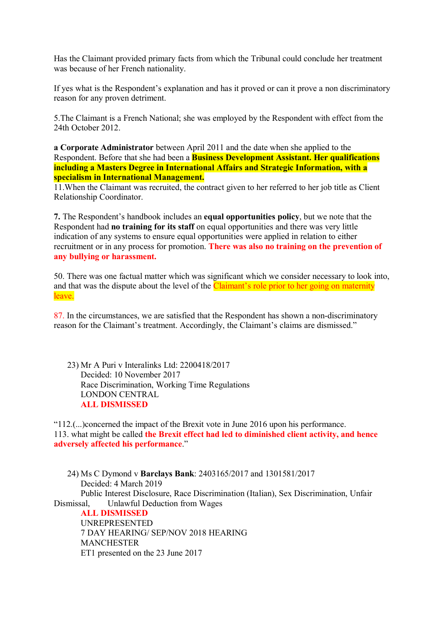Has the Claimant provided primary facts from which the Tribunal could conclude her treatment was because of her French nationality.

If yes what is the Respondent's explanation and has it proved or can it prove a non discriminatory reason for any proven detriment.

5.The Claimant is a French National; she was employed by the Respondent with effect from the 24th October 2012.

**a Corporate Administrator** between April 2011 and the date when she applied to the Respondent. Before that she had been a **Business Development Assistant. Her qualifications including a Masters Degree in International Affairs and Strategic Information, with a specialism in International Management.**

11.When the Claimant was recruited, the contract given to her referred to her job title as Client Relationship Coordinator.

**7.** The Respondent's handbook includes an **equal opportunities policy**, but we note that the Respondent had **no training for its staff** on equal opportunities and there was very little indication of any systems to ensure equal opportunities were applied in relation to either recruitment or in any process for promotion. **There was also no training on the prevention of any bullying or harassment.**

50. There was one factual matter which was significant which we consider necessary to look into, and that was the dispute about the level of the **Claimant's role prior to her going on maternity** leave.

87. In the circumstances, we are satisfied that the Respondent has shown a non-discriminatory reason for the Claimant's treatment. Accordingly, the Claimant's claims are dismissed."

23) Mr A Puri v Interalinks Ltd: 2200418/2017 Decided: 10 November 2017 Race Discrimination, Working Time Regulations LONDON CENTRAL **ALL DISMISSED**

"112.(...)concerned the impact of the Brexit vote in June 2016 upon his performance. 113. what might be called **the Brexit effect had led to diminished client activity, and hence adversely affected his performance**."

24) Ms C Dymond v **Barclays Bank**: 2403165/2017 and 1301581/2017 Decided: 4 March 2019 Public Interest Disclosure, Race Discrimination (Italian), Sex Discrimination, Unfair Dismissal, Unlawful Deduction from Wages **ALL DISMISSED**

UNREPRESENTED 7 DAY HEARING/ SEP/NOV 2018 HEARING MANCHESTER ET1 presented on the 23 June 2017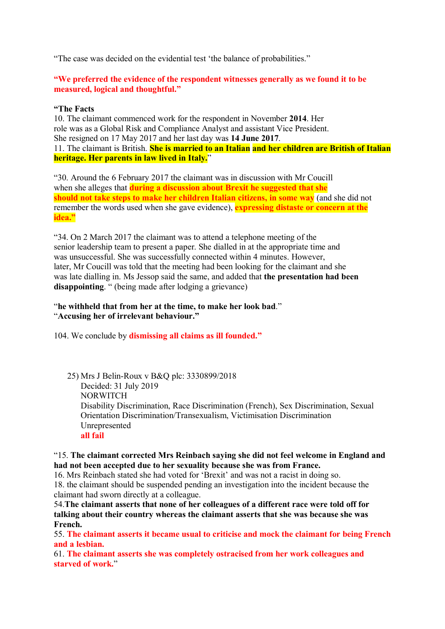"The case was decided on the evidential test 'the balance of probabilities."

**"We preferred the evidence of the respondent witnesses generally as we found it to be measured, logical and thoughtful."**

# **"The Facts**

10. The claimant commenced work for the respondent in November **2014**. Her role was as a Global Risk and Compliance Analyst and assistant Vice President. She resigned on 17 May 2017 and her last day was **14 June 2017**. 11. The claimant is British. **She is married to an Italian and her children are British of Italian heritage. Her parents in law lived in Italy.**"

"30. Around the 6 February 2017 the claimant was in discussion with Mr Coucill when she alleges that **during a discussion about Brexit he suggested that she should not take steps to make her children Italian citizens, in some way** (and she did not remember the words used when she gave evidence), **expressing distaste or concern at the idea."**

"34. On 2 March 2017 the claimant was to attend a telephone meeting of the senior leadership team to present a paper. She dialled in at the appropriate time and was unsuccessful. She was successfully connected within 4 minutes. However, later, Mr Coucill was told that the meeting had been looking for the claimant and she was late dialling in. Ms Jessop said the same, and added that **the presentation had been disappointing**. " (being made after lodging a grievance)

"**he withheld that from her at the time, to make her look bad**." "**Accusing her of irrelevant behaviour."**

104. We conclude by **dismissing all claims as ill founded."**

25) Mrs J Belin-Roux v B&Q plc: 3330899/2018 Decided: 31 July 2019 NORWITCH Disability Discrimination, Race Discrimination (French), Sex Discrimination, Sexual Orientation Discrimination/Transexualism, Victimisation Discrimination Unrepresented **all fail**

# "15. **The claimant corrected Mrs Reinbach saying she did not feel welcome in England and had not been accepted due to her sexuality because she was from France.**

16. Mrs Reinbach stated she had voted for 'Brexit' and was not a racist in doing so. 18. the claimant should be suspended pending an investigation into the incident because the claimant had sworn directly at a colleague.

54.**The claimant asserts that none of her colleagues of a different race were told off for talking about their country whereas the claimant asserts that she was because she was French.**

55. **The claimant asserts it became usual to criticise and mock the claimant for being French and a lesbian.**

61. **The claimant asserts she was completely ostracised from her work colleagues and starved of work.**"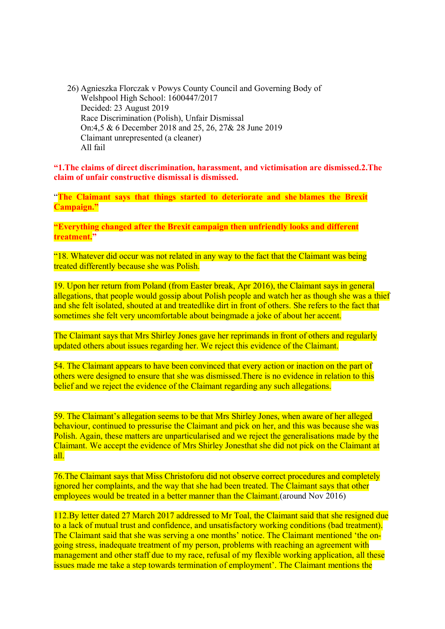26) Agnieszka Florczak v Powys County Council and Governing Body of Welshpool High School: 1600447/2017 Decided: 23 August 2019 Race Discrimination (Polish), Unfair Dismissal On:4,5 & 6 December 2018 and 25, 26, 27& 28 June 2019 Claimant unrepresented (a cleaner) All fail

**"1.The claims of direct discrimination, harassment, and victimisation are dismissed.2.The claim of unfair constructive dismissal is dismissed.**

"**The Claimant says that things started to deteriorate and she blames the Brexit Campaign."** 

**"Everything changed after the Brexit campaign then unfriendly looks and different treatment."**

"18. Whatever did occur was not related in any way to the fact that the Claimant was being treated differently because she was Polish.

19. Upon her return from Poland (from Easter break, Apr 2016), the Claimant says in general allegations, that people would gossip about Polish people and watch her as though she was a thief and she felt isolated, shouted at and treatedlike dirt in front of others. She refers to the fact that sometimes she felt very uncomfortable about beingmade a joke of about her accent.

The Claimant says that Mrs Shirley Jones gave her reprimands in front of others and regularly updated others about issues regarding her. We reject this evidence of the Claimant.

54. The Claimant appears to have been convinced that every action or inaction on the part of others were designed to ensure that she was dismissed.There is no evidence in relation to this belief and we reject the evidence of the Claimant regarding any such allegations.

59. The Claimant's allegation seems to be that Mrs Shirley Jones, when aware of her alleged behaviour, continued to pressurise the Claimant and pick on her, and this was because she was Polish. Again, these matters are unparticularised and we reject the generalisations made by the Claimant. We accept the evidence of Mrs Shirley Jonesthat she did not pick on the Claimant at all.

76.The Claimant says that Miss Christoforu did not observe correct procedures and completely ignored her complaints, and the way that she had been treated. The Claimant says that other employees would be treated in a better manner than the Claimant. (around Nov 2016)

112.By letter dated 27 March 2017 addressed to Mr Toal, the Claimant said that she resigned due to a lack of mutual trust and confidence, and unsatisfactory working conditions (bad treatment). The Claimant said that she was serving a one months' notice. The Claimant mentioned 'the ongoing stress, inadequate treatment of my person, problems with reaching an agreement with management and other staff due to my race, refusal of my flexible working application, all these issues made me take a step towards termination of employment'. The Claimant mentions the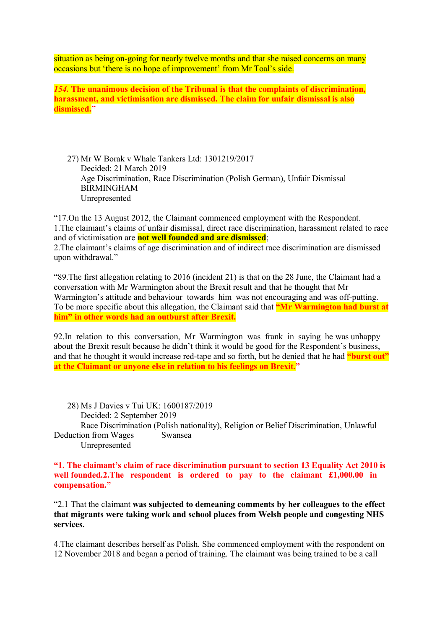situation as being on-going for nearly twelve months and that she raised concerns on many occasions but 'there is no hope of improvement' from Mr Toal's side.

*154.* **The unanimous decision of the Tribunal is that the complaints of discrimination, harassment, and victimisation are dismissed. The claim for unfair dismissal is also dismissed."**

27) Mr W Borak v Whale Tankers Ltd: 1301219/2017 Decided: 21 March 2019 Age Discrimination, Race Discrimination (Polish German), Unfair Dismissal BIRMINGHAM Unrepresented

"17.On the 13 August 2012, the Claimant commenced employment with the Respondent. 1.The claimant's claims of unfair dismissal, direct race discrimination, harassment related to race and of victimisation are **not well founded and are dismissed**; 2.The claimant's claims of age discrimination and of indirect race discrimination are dismissed upon withdrawal."

"89.The first allegation relating to 2016 (incident 21) is that on the 28 June, the Claimant had a conversation with Mr Warmington about the Brexit result and that he thought that Mr Warmington's attitude and behaviour towards him was not encouraging and was off-putting. To be more specific about this allegation, the Claimant said that **"Mr Warmington had burst at him" in other words had an outburst after Brexit.**

92.In relation to this conversation, Mr Warmington was frank in saying he was unhappy about the Brexit result because he didn't think it would be good for the Respondent's business, and that he thought it would increase red-tape and so forth, but he denied that he had **"burst out" at the Claimant or anyone else in relation to his feelings on Brexit."**

28) Ms J Davies v Tui UK: 1600187/2019 Decided: 2 September 2019 Race Discrimination (Polish nationality), Religion or Belief Discrimination, Unlawful Deduction from Wages Swansea Unrepresented

**"1. The claimant's claim of race discrimination pursuant to section 13 Equality Act 2010 is well founded.2.The respondent is ordered to pay to the claimant £1,000.00 in compensation."**

"2.1 That the claimant **was subjected to demeaning comments by her colleagues to the effect that migrants were taking work and school places from Welsh people and congesting NHS services.**

4.The claimant describes herself as Polish. She commenced employment with the respondent on 12 November 2018 and began a period of training. The claimant was being trained to be a call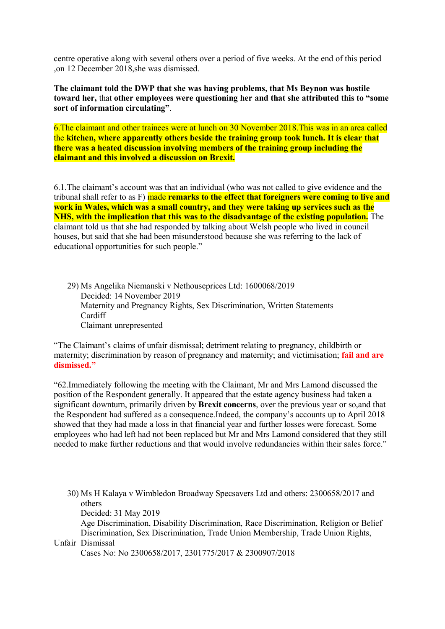centre operative along with several others over a period of five weeks. At the end of this period ,on 12 December 2018,she was dismissed.

**The claimant told the DWP that she was having problems, that Ms Beynon was hostile toward her,** that **other employees were questioning her and that she attributed this to "some sort of information circulating"**.

6.The claimant and other trainees were at lunch on 30 November 2018.This was in an area called the **kitchen, where apparently others beside the training group took lunch. It is clear that there was a heated discussion involving members of the training group including the claimant and this involved a discussion on Brexit.**

6.1.The claimant's account was that an individual (who was not called to give evidence and the tribunal shall refer to as F) made **remarks to the effect that foreigners were coming to live and work in Wales, which was a small country, and they were taking up services such as the NHS, with the implication that this was to the disadvantage of the existing population.** The claimant told us that she had responded by talking about Welsh people who lived in council houses, but said that she had been misunderstood because she was referring to the lack of educational opportunities for such people."

29) Ms Angelika Niemanski v Nethouseprices Ltd: 1600068/2019 Decided: 14 November 2019 Maternity and Pregnancy Rights, Sex Discrimination, Written Statements Cardiff Claimant unrepresented

"The Claimant's claims of unfair dismissal; detriment relating to pregnancy, childbirth or maternity; discrimination by reason of pregnancy and maternity; and victimisation; **fail and are dismissed."**

"62.Immediately following the meeting with the Claimant, Mr and Mrs Lamond discussed the position of the Respondent generally. It appeared that the estate agency business had taken a significant downturn, primarily driven by **Brexit concerns**, over the previous year or so,and that the Respondent had suffered as a consequence.Indeed, the company's accounts up to April 2018 showed that they had made a loss in that financial year and further losses were forecast. Some employees who had left had not been replaced but Mr and Mrs Lamond considered that they still needed to make further reductions and that would involve redundancies within their sales force."

30) Ms H Kalaya v Wimbledon Broadway Specsavers Ltd and others: 2300658/2017 and others

Decided: 31 May 2019

 Age Discrimination, Disability Discrimination, Race Discrimination, Religion or Belief Discrimination, Sex Discrimination, Trade Union Membership, Trade Union Rights, Unfair Dismissal

Cases No: No 2300658/2017, 2301775/2017 & 2300907/2018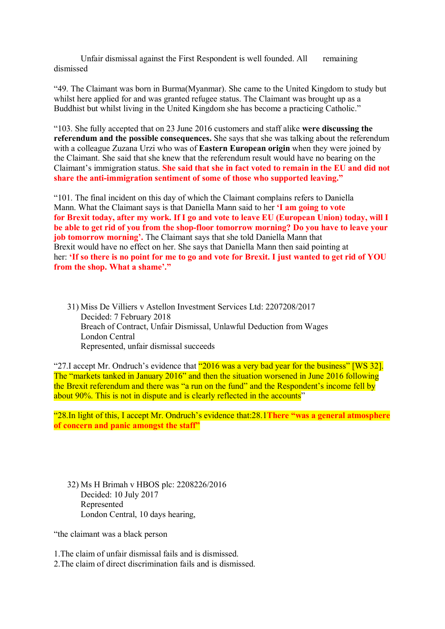Unfair dismissal against the First Respondent is well founded. All remaining dismissed

"49. The Claimant was born in Burma(Myanmar). She came to the United Kingdom to study but whilst here applied for and was granted refugee status. The Claimant was brought up as a Buddhist but whilst living in the United Kingdom she has become a practicing Catholic."

"103. She fully accepted that on 23 June 2016 customers and staff alike **were discussing the referendum and the possible consequences.** She says that she was talking about the referendum with a colleague Zuzana Urzi who was of **Eastern European origin** when they were joined by the Claimant. She said that she knew that the referendum result would have no bearing on the Claimant's immigration status. **She said that she in fact voted to remain in the EU and did not share the anti-immigration sentiment of some of those who supported leaving."**

"101. The final incident on this day of which the Claimant complains refers to Daniella Mann. What the Claimant says is that Daniella Mann said to her **'I am going to vote for Brexit today, after my work. If I go and vote to leave EU (European Union) today, will I be able to get rid of you from the shop-floor tomorrow morning? Do you have to leave your job tomorrow morning'.** The Claimant says that she told Daniella Mann that Brexit would have no effect on her. She says that Daniella Mann then said pointing at her: **'If so there is no point for me to go and vote for Brexit. I just wanted to get rid of YOU from the shop. What a shame'."**

31) Miss De Villiers v Astellon Investment Services Ltd: 2207208/2017 Decided: 7 February 2018 Breach of Contract, Unfair Dismissal, Unlawful Deduction from Wages London Central Represented, unfair dismissal succeeds

"27.I accept Mr. Ondruch's evidence that "2016 was a very bad year for the business" [WS 32]. The "markets tanked in January 2016" and then the situation worsened in June 2016 following the Brexit referendum and there was "a run on the fund" and the Respondent's income fell by about 90%. This is not in dispute and is clearly reflected in the accounts"

"28.In light of this, I accept Mr. Ondruch's evidence that:28.1**There "was a general atmosphere of concern and panic amongst the staff"**

32) Ms H Brimah v HBOS plc: 2208226/2016 Decided: 10 July 2017 Represented London Central, 10 days hearing,

"the claimant was a black person

1.The claim of unfair dismissal fails and is dismissed.

2.The claim of direct discrimination fails and is dismissed.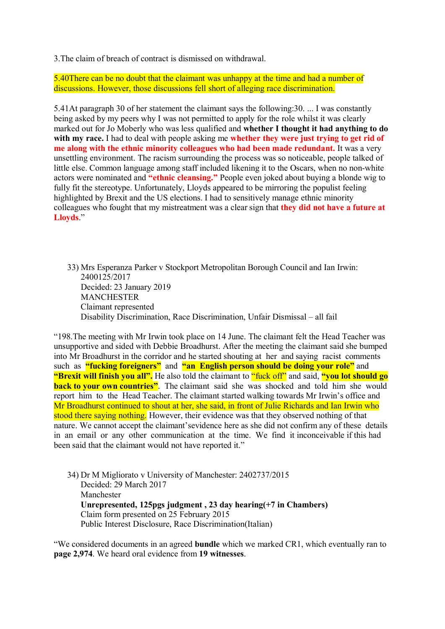3.The claim of breach of contract is dismissed on withdrawal.

5.40There can be no doubt that the claimant was unhappy at the time and had a number of discussions. However, those discussions fell short of alleging race discrimination.

5.41At paragraph 30 of her statement the claimant says the following:30. ... I was constantly being asked by my peers why I was not permitted to apply for the role whilst it was clearly marked out for Jo Moberly who was less qualified and **whether I thought it had anything to do with my race.** I had to deal with people asking me **whether they were just trying to get rid of me along with the ethnic minority colleagues who had been made redundant.** It was a very unsettling environment. The racism surrounding the process was so noticeable, people talked of little else. Common language among staff included likening it to the Oscars, when no non-white actors were nominated and **"ethnic cleansing."** People even joked about buying a blonde wig to fully fit the stereotype. Unfortunately, Lloyds appeared to be mirroring the populist feeling highlighted by Brexit and the US elections. I had to sensitively manage ethnic minority colleagues who fought that my mistreatment was a clear sign that **they did not have a future at Lloyds**."

33) Mrs Esperanza Parker v Stockport Metropolitan Borough Council and Ian Irwin: 2400125/2017 Decided: 23 January 2019 MANCHESTER Claimant represented Disability Discrimination, Race Discrimination, Unfair Dismissal – all fail

"198.The meeting with Mr Irwin took place on 14 June. The claimant felt the Head Teacher was unsupportive and sided with Debbie Broadhurst. After the meeting the claimant said she bumped into Mr Broadhurst in the corridor and he started shouting at her and saying racist comments such as **"fucking foreigners"** and **"an English person should be doing your role"** and **"Brexit will finish you all".** He also told the claimant to "fuck off" and said, **"you lot should go back to your own countries"**. The claimant said she was shocked and told him she would report him to the Head Teacher. The claimant started walking towards Mr Irwin's office and Mr Broadhurst continued to shout at her, she said, in front of Julie Richards and Ian Irwin who stood there saying nothing. However, their evidence was that they observed nothing of that nature. We cannot accept the claimant'sevidence here as she did not confirm any of these details in an email or any other communication at the time. We find it inconceivable if this had been said that the claimant would not have reported it."

34) Dr M Migliorato v University of Manchester: 2402737/2015 Decided: 29 March 2017 Manchester **Unrepresented, 125pgs judgment , 23 day hearing(+7 in Chambers)** Claim form presented on 25 February 2015 Public Interest Disclosure, Race Discrimination(Italian)

"We considered documents in an agreed **bundle** which we marked CR1, which eventually ran to **page 2,974**. We heard oral evidence from **19 witnesses**.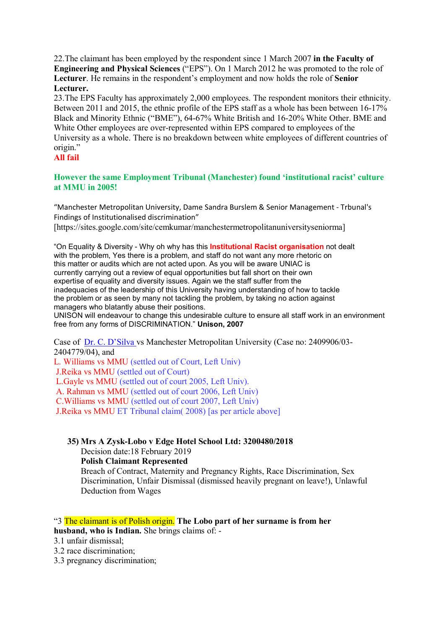22.The claimant has been employed by the respondent since 1 March 2007 **in the Faculty of Engineering and Physical Sciences** ("EPS"). On 1 March 2012 he was promoted to the role of **Lecturer**. He remains in the respondent's employment and now holds the role of **Senior Lecturer.**

23.The EPS Faculty has approximately 2,000 employees. The respondent monitors their ethnicity. Between 2011 and 2015, the ethnic profile of the EPS staff as a whole has been between 16-17% Black and Minority Ethnic ("BME"), 64-67% White British and 16-20% White Other. BME and White Other employees are over-represented within EPS compared to employees of the University as a whole. There is no breakdown between white employees of different countries of origin."

# **All fail**

# **However the same Employment Tribunal (Manchester) found 'institutional racist' culture at MMU in 2005!**

"Manchester Metropolitan University, Dame Sandra Burslem & Senior Management - Trbunal's Findings of Institutionalised discrimination"

[https://sites.google.com/site/cemkumar/manchestermetropolitanuniversityseniorma]

"On Equality & Diversity - Why oh why has this **Institutional Racist organisation** not dealt with the problem, Yes there is a problem, and staff do not want any more rhetoric on this matter or audits which are not acted upon. As you will be aware UNIAC is currently carrying out a review of equal opportunities but fall short on their own expertise of equality and diversity issues. Again we the staff suffer from the inadequacies of the leadership of this University having understanding of how to tackle the problem or as seen by many not tackling the problem, by taking no action against managers who blatantly abuse their positions.

UNISON will endeavour to change this undesirable culture to ensure all staff work in an environment free from any forms of DISCRIMINATION." **Unison, 2007**

Case of [Dr. C. D'Silva v](http://mmu.academia.edu/ClaudiusDSilva)s Manchester Metropolitan University (Case no: 2409906/03- 2404779/04), and

L. Williams vs MMU (settled out of Court, Left Univ)

J.Reika vs MMU (settled out of Court)

L.Gayle vs MMU (settled out of court 2005, Left Univ).

A. Rahman vs MMU (settled out of court 2006, Left Univ)

C.Williams vs MMU (settled out of court 2007, Left Univ)

J.Reika vs MMU ET Tribunal claim( 2008) [as per article above]

**35) Mrs A Zysk-Lobo v Edge Hotel School Ltd: 3200480/2018**

Decision date:18 February 2019

# **Polish Claimant Represented**

Breach of Contract, Maternity and Pregnancy Rights, Race Discrimination, Sex Discrimination, Unfair Dismissal (dismissed heavily pregnant on leave!), Unlawful Deduction from Wages

"3 The claimant is of Polish origin. **The Lobo part of her surname is from her husband, who is Indian.** She brings claims of: -

- 3.2 race discrimination;
- 3.3 pregnancy discrimination;

<sup>3.1</sup> unfair dismissal;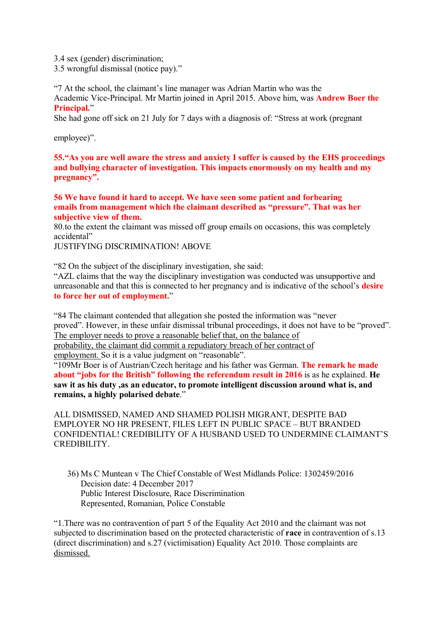3.4 sex (gender) discrimination;

3.5 wrongful dismissal (notice pay)."

"7 At the school, the claimant's line manager was Adrian Martin who was the Academic Vice-Principal. Mr Martin joined in April 2015. Above him, was **Andrew Boer the Principal.**"

She had gone off sick on 21 July for 7 days with a diagnosis of: "Stress at work (pregnant

employee)".

**55."As you are well aware the stress and anxiety I suffer is caused by the EHS proceedings and bullying character of investigation. This impacts enormously on my health and my pregnancy".**

**56 We have found it hard to accept. We have seen some patient and forbearing emails from management which the claimant described as "pressure". That was her subjective view of them.**

80.to the extent the claimant was missed off group emails on occasions, this was completely accidental"

JUSTIFYING DISCRIMINATION! ABOVE

"82 On the subject of the disciplinary investigation, she said:

"AZL claims that the way the disciplinary investigation was conducted was unsupportive and unreasonable and that this is connected to her pregnancy and is indicative of the school's **desire to force her out of employment.**"

"84 The claimant contended that allegation she posted the information was "never proved". However, in these unfair dismissal tribunal proceedings, it does not have to be "proved". The employer needs to prove a reasonable belief that, on the balance of probability, the claimant did commit a repudiatory breach of her contract of

employment. So it is a value judgment on "reasonable".

"109Mr Boer is of Austrian/Czech heritage and his father was German. **The remark he made about "jobs for the British" following the referendum result in 2016** is as he explained. **He saw it as his duty ,as an educator, to promote intelligent discussion around what is, and remains, a highly polarised debate**."

ALL DISMISSED, NAMED AND SHAMED POLISH MIGRANT, DESPITE BAD EMPLOYER NO HR PRESENT, FILES LEFT IN PUBLIC SPACE – BUT BRANDED CONFIDENTIAL! CREDIBILITY OF A HUSBAND USED TO UNDERMINE CLAIMANT'S CREDIBILITY.

36) Ms C Muntean v The Chief Constable of West Midlands Police: 1302459/2016 Decision date: 4 December 2017 Public Interest Disclosure, Race Discrimination Represented, Romanian, Police Constable

"1.There was no contravention of part 5 of the Equality Act 2010 and the claimant was not subjected to discrimination based on the protected characteristic of **race** in contravention of s.13 (direct discrimination) and s.27 (victimisation) Equality Act 2010. Those complaints are dismissed.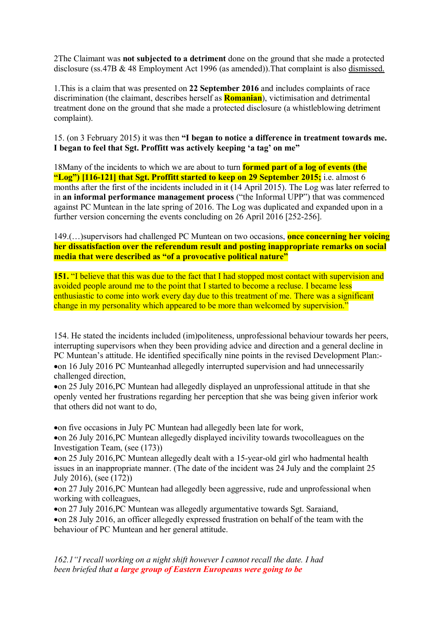2The Claimant was **not subjected to a detriment** done on the ground that she made a protected disclosure (ss.47B & 48 Employment Act 1996 (as amended)).That complaint is also dismissed.

1.This is a claim that was presented on **22 September 2016** and includes complaints of race discrimination (the claimant, describes herself as **Romanian**), victimisation and detrimental treatment done on the ground that she made a protected disclosure (a whistleblowing detriment complaint).

15. (on 3 February 2015) it was then **"I began to notice a difference in treatment towards me. I began to feel that Sgt. Proffitt was actively keeping 'a tag' on me"**

18Many of the incidents to which we are about to turn **formed part of a log of events (the "Log") [116-121] that Sgt. Proffitt started to keep on 29 September 2015;** i.e. almost 6 months after the first of the incidents included in it (14 April 2015). The Log was later referred to in **an informal performance management process** ("the Informal UPP") that was commenced against PC Muntean in the late spring of 2016. The Log was duplicated and expanded upon in a further version concerning the events concluding on 26 April 2016 [252-256].

149.(…)supervisors had challenged PC Muntean on two occasions, **once concerning her voicing her dissatisfaction over the referendum result and posting inappropriate remarks on social media that were described as "of a provocative political nature"**

**151.** "I believe that this was due to the fact that I had stopped most contact with supervision and avoided people around me to the point that I started to become a recluse. I became less enthusiastic to come into work every day due to this treatment of me. There was a significant change in my personality which appeared to be more than welcomed by supervision."

154. He stated the incidents included (im)politeness, unprofessional behaviour towards her peers, interrupting supervisors when they been providing advice and direction and a general decline in PC Muntean's attitude. He identified specifically nine points in the revised Development Plan:- •on 16 July 2016 PC Munteanhad allegedly interrupted supervision and had unnecessarily challenged direction,

•on 25 July 2016,PC Muntean had allegedly displayed an unprofessional attitude in that she openly vented her frustrations regarding her perception that she was being given inferior work that others did not want to do,

•on five occasions in July PC Muntean had allegedly been late for work,

•on 26 July 2016,PC Muntean allegedly displayed incivility towards twocolleagues on the Investigation Team, (see (173))

•on 25 July 2016,PC Muntean allegedly dealt with a 15-year-old girl who hadmental health issues in an inappropriate manner. (The date of the incident was 24 July and the complaint 25 July 2016), (see (172))

•on 27 July 2016,PC Muntean had allegedly been aggressive, rude and unprofessional when working with colleagues,

•on 27 July 2016,PC Muntean was allegedly argumentative towards Sgt. Saraiand, •on 28 July 2016, an officer allegedly expressed frustration on behalf of the team with the behaviour of PC Muntean and her general attitude.

*162.1"I recall working on a night shift however I cannot recall the date. I had been briefed that a large group of Eastern Europeans were going to be*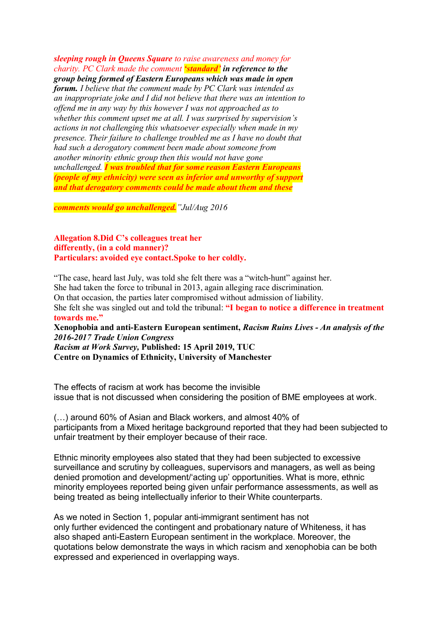*sleeping rough in Queens Square to raise awareness and money for charity. PC Clark made the comment 'standard' in reference to the group being formed of Eastern Europeans which was made in open forum. I believe that the comment made by PC Clark was intended as an inappropriate joke and I did not believe that there was an intention to offend me in any way by this however I was not approached as to whether this comment upset me at all. I was surprised by supervision's actions in not challenging this whatsoever especially when made in my presence. Their failure to challenge troubled me as I have no doubt that had such a derogatory comment been made about someone from another minority ethnic group then this would not have gone unchallenged. I was troubled that for some reason Eastern Europeans (people of my ethnicity) were seen as inferior and unworthy of support and that derogatory comments could be made about them and these*

*comments would go unchallenged."Jul/Aug 2016*

**Allegation 8.Did C's colleagues treat her differently, (in a cold manner)? Particulars: avoided eye contact.Spoke to her coldly.**

"The case, heard last July, was told she felt there was a "witch-hunt" against her. She had taken the force to tribunal in 2013, again alleging race discrimination. On that occasion, the parties later compromised without admission of liability. She felt she was singled out and told the tribunal: **"I began to notice a difference in treatment towards me."**

**Xenophobia and anti-Eastern European sentiment,** *Racism Ruins Lives - An analysis of the 2016-2017 Trade Union Congress*

*Racism at Work Survey,* **Published: 15 April 2019, TUC Centre on Dynamics of Ethnicity, University of Manchester**

The effects of racism at work has become the invisible issue that is not discussed when considering the position of BME employees at work.

(…) around 60% of Asian and Black workers, and almost 40% of participants from a Mixed heritage background reported that they had been subjected to unfair treatment by their employer because of their race.

Ethnic minority employees also stated that they had been subjected to excessive surveillance and scrutiny by colleagues, supervisors and managers, as well as being denied promotion and development/'acting up' opportunities. What is more, ethnic minority employees reported being given unfair performance assessments, as well as being treated as being intellectually inferior to their White counterparts.

As we noted in Section 1, popular anti-immigrant sentiment has not only further evidenced the contingent and probationary nature of Whiteness, it has also shaped anti-Eastern European sentiment in the workplace. Moreover, the quotations below demonstrate the ways in which racism and xenophobia can be both expressed and experienced in overlapping ways.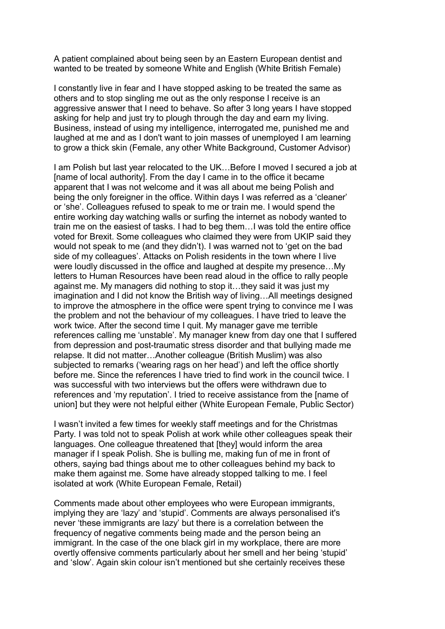A patient complained about being seen by an Eastern European dentist and wanted to be treated by someone White and English (White British Female)

I constantly live in fear and I have stopped asking to be treated the same as others and to stop singling me out as the only response I receive is an aggressive answer that I need to behave. So after 3 long years I have stopped asking for help and just try to plough through the day and earn my living. Business, instead of using my intelligence, interrogated me, punished me and laughed at me and as I don't want to join masses of unemployed I am learning to grow a thick skin (Female, any other White Background, Customer Advisor)

I am Polish but last year relocated to the UK…Before I moved I secured a job at [name of local authority]. From the day I came in to the office it became apparent that I was not welcome and it was all about me being Polish and being the only foreigner in the office. Within days I was referred as a 'cleaner' or 'she'. Colleagues refused to speak to me or train me. I would spend the entire working day watching walls or surfing the internet as nobody wanted to train me on the easiest of tasks. I had to beg them…I was told the entire office voted for Brexit. Some colleagues who claimed they were from UKIP said they would not speak to me (and they didn't). I was warned not to 'get on the bad side of my colleagues'. Attacks on Polish residents in the town where I live were loudly discussed in the office and laughed at despite my presence…My letters to Human Resources have been read aloud in the office to rally people against me. My managers did nothing to stop it…they said it was just my imagination and I did not know the British way of living…All meetings designed to improve the atmosphere in the office were spent trying to convince me I was the problem and not the behaviour of my colleagues. I have tried to leave the work twice. After the second time I quit. My manager gave me terrible references calling me 'unstable'. My manager knew from day one that I suffered from depression and post-traumatic stress disorder and that bullying made me relapse. It did not matter…Another colleague (British Muslim) was also subjected to remarks ('wearing rags on her head') and left the office shortly before me. Since the references I have tried to find work in the council twice. I was successful with two interviews but the offers were withdrawn due to references and 'my reputation'. I tried to receive assistance from the [name of union] but they were not helpful either (White European Female, Public Sector)

I wasn't invited a few times for weekly staff meetings and for the Christmas Party. I was told not to speak Polish at work while other colleagues speak their languages. One colleague threatened that [they] would inform the area manager if I speak Polish. She is bulling me, making fun of me in front of others, saying bad things about me to other colleagues behind my back to make them against me. Some have already stopped talking to me. I feel isolated at work (White European Female, Retail)

Comments made about other employees who were European immigrants, implying they are 'lazy' and 'stupid'. Comments are always personalised it's never 'these immigrants are lazy' but there is a correlation between the frequency of negative comments being made and the person being an immigrant. In the case of the one black girl in my workplace, there are more overtly offensive comments particularly about her smell and her being 'stupid' and 'slow'. Again skin colour isn't mentioned but she certainly receives these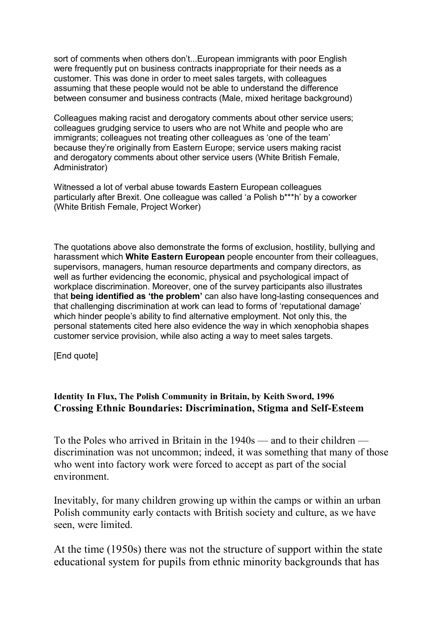sort of comments when others don't...European immigrants with poor English were frequently put on business contracts inappropriate for their needs as a customer. This was done in order to meet sales targets, with colleagues assuming that these people would not be able to understand the difference between consumer and business contracts (Male, mixed heritage background)

Colleagues making racist and derogatory comments about other service users; colleagues grudging service to users who are not White and people who are immigrants; colleagues not treating other colleagues as 'one of the team' because they're originally from Eastern Europe; service users making racist and derogatory comments about other service users (White British Female, Administrator)

Witnessed a lot of verbal abuse towards Eastern European colleagues particularly after Brexit. One colleague was called 'a Polish b\*\*\*h' by a coworker (White British Female, Project Worker)

The quotations above also demonstrate the forms of exclusion, hostility, bullying and harassment which **White Eastern European** people encounter from their colleagues, supervisors, managers, human resource departments and company directors, as well as further evidencing the economic, physical and psychological impact of workplace discrimination. Moreover, one of the survey participants also illustrates that **being identified as 'the problem'** can also have long-lasting consequences and that challenging discrimination at work can lead to forms of 'reputational damage' which hinder people's ability to find alternative employment. Not only this, the personal statements cited here also evidence the way in which xenophobia shapes customer service provision, while also acting a way to meet sales targets.

[End quote]

# **Identity In Flux, The Polish Community in Britain, by Keith Sword, 1996 Crossing Ethnic Boundaries: Discrimination, Stigma and Self-Esteem**

To the Poles who arrived in Britain in the 1940s — and to their children discrimination was not uncommon; indeed, it was something that many of those who went into factory work were forced to accept as part of the social environment.

Inevitably, for many children growing up within the camps or within an urban Polish community early contacts with British society and culture, as we have seen, were limited.

At the time (1950s) there was not the structure of support within the state educational system for pupils from ethnic minority backgrounds that has